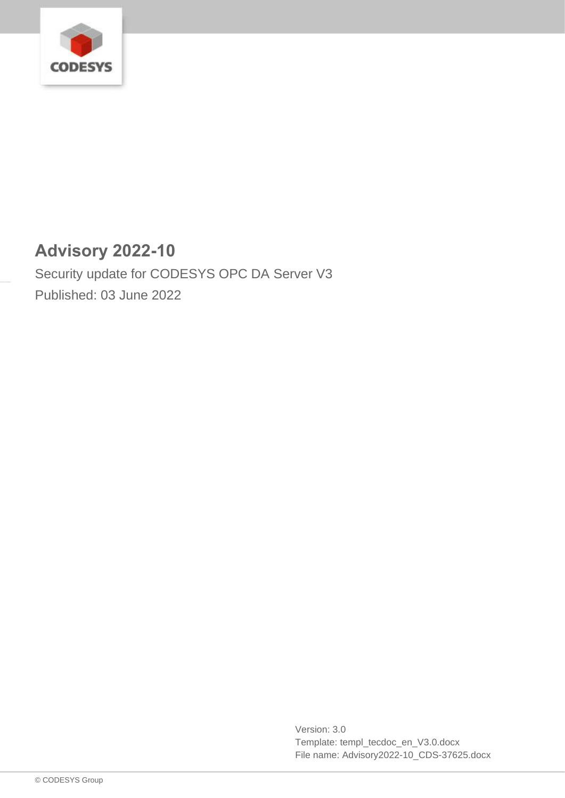

# **Advisory 2022-10**

Security update for CODESYS OPC DA Server V3 Published: 03 June 2022

> Version: 3.0 Template: templ\_tecdoc\_en\_V3.0.docx File name: Advisory2022-10\_CDS-37625.docx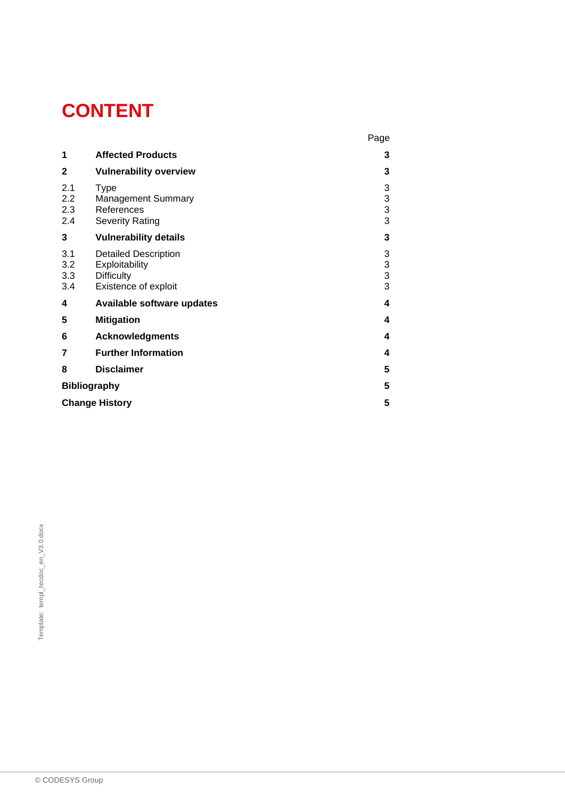# **CONTENT**

|                          |                                                                                            | Page                                            |
|--------------------------|--------------------------------------------------------------------------------------------|-------------------------------------------------|
| 1                        | <b>Affected Products</b>                                                                   | 3                                               |
| $\mathbf{2}$             | <b>Vulnerability overview</b>                                                              | 3                                               |
| 2.1<br>2.2<br>2.3<br>2.4 | <b>Type</b><br><b>Management Summary</b><br>References<br><b>Severity Rating</b>           | 3<br>$\begin{array}{c} 3 \\ 3 \\ 3 \end{array}$ |
| 3                        | <b>Vulnerability details</b>                                                               | 3                                               |
| 3.1<br>3.2<br>3.3<br>3.4 | <b>Detailed Description</b><br>Exploitability<br><b>Difficulty</b><br>Existence of exploit | $\begin{array}{c} 3 \\ 3 \\ 3 \end{array}$      |
| 4                        | Available software updates                                                                 | 4                                               |
| 5                        | <b>Mitigation</b>                                                                          | 4                                               |
| 6                        | <b>Acknowledgments</b>                                                                     | 4                                               |
| 7                        | <b>Further Information</b>                                                                 | 4                                               |
| 8                        | <b>Disclaimer</b>                                                                          | 5                                               |
| <b>Bibliography</b>      |                                                                                            | 5                                               |
| <b>Change History</b>    |                                                                                            |                                                 |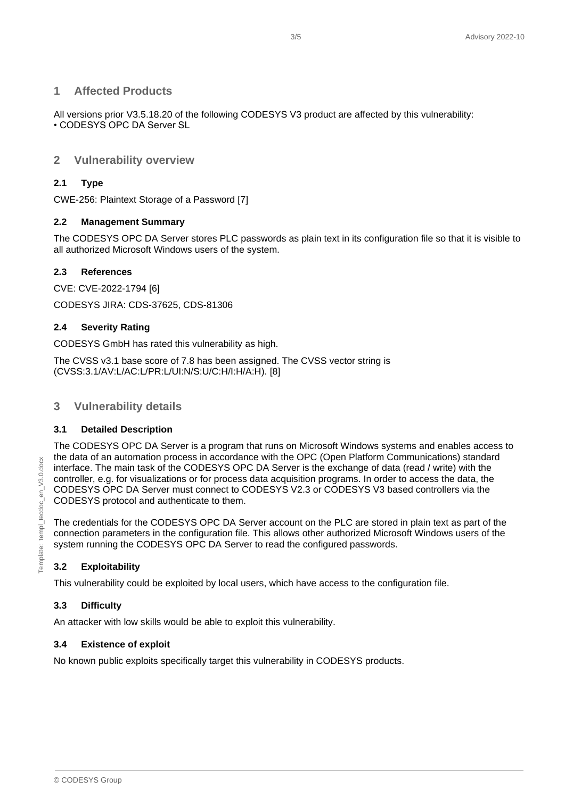#### <span id="page-2-0"></span>**1 Affected Products**

All versions prior V3.5.18.20 of the following CODESYS V3 product are affected by this vulnerability: • CODESYS OPC DA Server SL

#### <span id="page-2-1"></span>**2 Vulnerability overview**

#### <span id="page-2-2"></span>**2.1 Type**

CWE-256: Plaintext Storage of a Password [7]

#### <span id="page-2-3"></span>**2.2 Management Summary**

The CODESYS OPC DA Server stores PLC passwords as plain text in its configuration file so that it is visible to all authorized Microsoft Windows users of the system.

#### <span id="page-2-4"></span>**2.3 References**

CVE: CVE-2022-1794 [6] CODESYS JIRA: CDS-37625, CDS-81306

#### <span id="page-2-5"></span>**2.4 Severity Rating**

CODESYS GmbH has rated this vulnerability as high.

The CVSS v3.1 base score of 7.8 has been assigned. The CVSS vector string is (CVSS:3.1/AV:L/AC:L/PR:L/UI:N/S:U/C:H/I:H/A:H). [8]

# <span id="page-2-6"></span>**3 Vulnerability details**

#### <span id="page-2-7"></span>**3.1 Detailed Description**

The CODESYS OPC DA Server is a program that runs on Microsoft Windows systems and enables access to the data of an automation process in accordance with the OPC (Open Platform Communications) standard interface. The main task of the CODESYS OPC DA Server is the exchange of data (read / write) with the controller, e.g. for visualizations or for process data acquisition programs. In order to access the data, the CODESYS OPC DA Server must connect to CODESYS V2.3 or CODESYS V3 based controllers via the CODESYS protocol and authenticate to them.

The credentials for the CODESYS OPC DA Server account on the PLC are stored in plain text as part of the connection parameters in the configuration file. This allows other authorized Microsoft Windows users of the system running the CODESYS OPC DA Server to read the configured passwords.

#### <span id="page-2-8"></span>**3.2 Exploitability**

This vulnerability could be exploited by local users, which have access to the configuration file.

#### <span id="page-2-9"></span>**3.3 Difficulty**

An attacker with low skills would be able to exploit this vulnerability.

#### <span id="page-2-10"></span>**3.4 Existence of exploit**

No known public exploits specifically target this vulnerability in CODESYS products.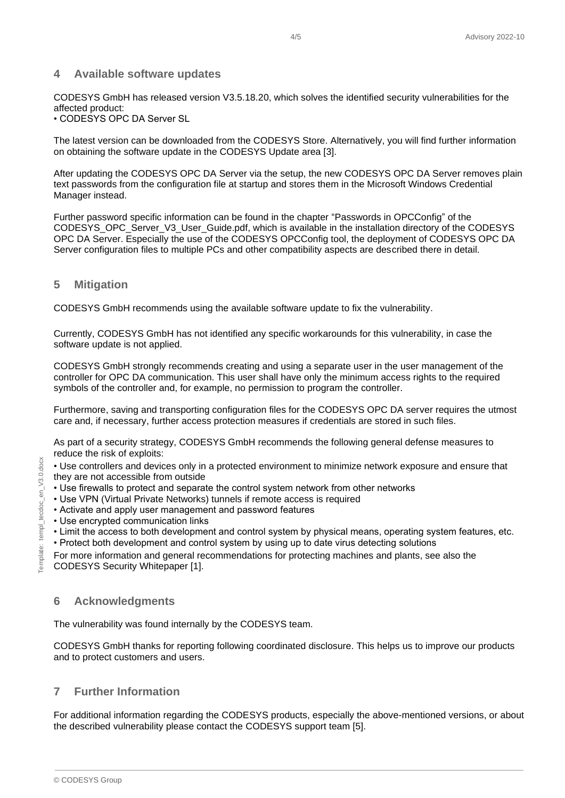#### <span id="page-3-0"></span>**4 Available software updates**

CODESYS GmbH has released version V3.5.18.20, which solves the identified security vulnerabilities for the affected product:

• CODESYS OPC DA Server SL

The latest version can be downloaded from the CODESYS Store. Alternatively, you will find further information on obtaining the software update in the CODESYS Update area [3].

After updating the CODESYS OPC DA Server via the setup, the new CODESYS OPC DA Server removes plain text passwords from the configuration file at startup and stores them in the Microsoft Windows Credential Manager instead.

Further password specific information can be found in the chapter "Passwords in OPCConfig" of the CODESYS\_OPC\_Server\_V3\_User\_Guide.pdf, which is available in the installation directory of the CODESYS OPC DA Server. Especially the use of the CODESYS OPCConfig tool, the deployment of CODESYS OPC DA Server configuration files to multiple PCs and other compatibility aspects are described there in detail.

#### <span id="page-3-1"></span>**5 Mitigation**

CODESYS GmbH recommends using the available software update to fix the vulnerability.

Currently, CODESYS GmbH has not identified any specific workarounds for this vulnerability, in case the software update is not applied.

CODESYS GmbH strongly recommends creating and using a separate user in the user management of the controller for OPC DA communication. This user shall have only the minimum access rights to the required symbols of the controller and, for example, no permission to program the controller.

Furthermore, saving and transporting configuration files for the CODESYS OPC DA server requires the utmost care and, if necessary, further access protection measures if credentials are stored in such files.

As part of a security strategy, CODESYS GmbH recommends the following general defense measures to reduce the risk of exploits:

• Use controllers and devices only in a protected environment to minimize network exposure and ensure that they are not accessible from outside

- Use firewalls to protect and separate the control system network from other networks
- Use VPN (Virtual Private Networks) tunnels if remote access is required
- Activate and apply user management and password features
- Use encrypted communication links
- Limit the access to both development and control system by physical means, operating system features, etc.
- Protect both development and control system by using up to date virus detecting solutions

For more information and general recommendations for protecting machines and plants, see also the CODESYS Security Whitepaper [1].

#### <span id="page-3-2"></span>**6 Acknowledgments**

The vulnerability was found internally by the CODESYS team.

CODESYS GmbH thanks for reporting following coordinated disclosure. This helps us to improve our products and to protect customers and users.

# <span id="page-3-3"></span>**7 Further Information**

For additional information regarding the CODESYS products, especially the above-mentioned versions, or about the described vulnerability please contact the CODESYS support team [5].